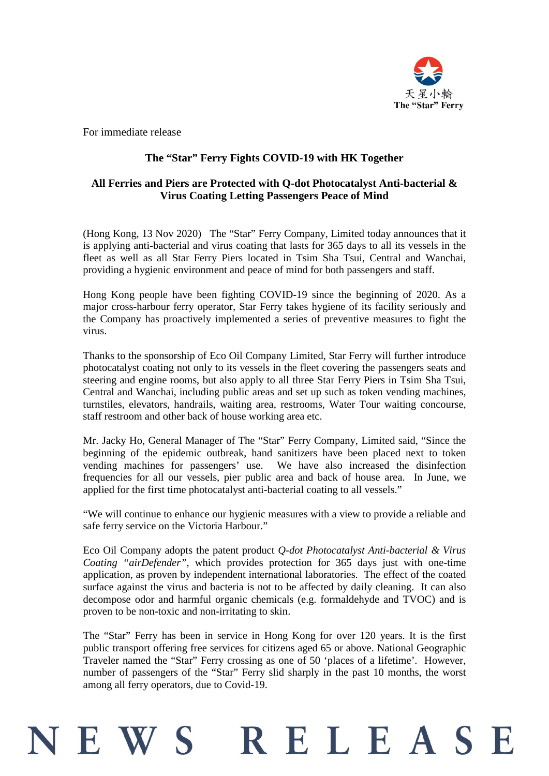

For immediate release

## **The "Star" Ferry Fights COVID-19 with HK Together**

### **All Ferries and Piers are Protected with Q-dot Photocatalyst Anti-bacterial & Virus Coating Letting Passengers Peace of Mind**

(Hong Kong, 13 Nov 2020) The "Star" Ferry Company, Limited today announces that it is applying anti-bacterial and virus coating that lasts for 365 days to all its vessels in the fleet as well as all Star Ferry Piers located in Tsim Sha Tsui, Central and Wanchai, providing a hygienic environment and peace of mind for both passengers and staff.

Hong Kong people have been fighting COVID-19 since the beginning of 2020. As a major cross-harbour ferry operator, Star Ferry takes hygiene of its facility seriously and the Company has proactively implemented a series of preventive measures to fight the virus.

Thanks to the sponsorship of Eco Oil Company Limited, Star Ferry will further introduce photocatalyst coating not only to its vessels in the fleet covering the passengers seats and steering and engine rooms, but also apply to all three Star Ferry Piers in Tsim Sha Tsui, Central and Wanchai, including public areas and set up such as token vending machines, turnstiles, elevators, handrails, waiting area, restrooms, Water Tour waiting concourse, staff restroom and other back of house working area etc.

Mr. Jacky Ho, General Manager of The "Star" Ferry Company, Limited said, "Since the beginning of the epidemic outbreak, hand sanitizers have been placed next to token vending machines for passengers' use. We have also increased the disinfection frequencies for all our vessels, pier public area and back of house area. In June, we applied for the first time photocatalyst anti-bacterial coating to all vessels."

"We will continue to enhance our hygienic measures with a view to provide a reliable and safe ferry service on the Victoria Harbour."

Eco Oil Company adopts the patent product *Q-dot Photocatalyst Anti-bacterial & Virus Coating "airDefender"*, which provides protection for 365 days just with one-time application, as proven by independent international laboratories. The effect of the coated surface against the virus and bacteria is not to be affected by daily cleaning. It can also decompose odor and harmful organic chemicals (e.g. formaldehyde and TVOC) and is proven to be non-toxic and non-irritating to skin.

The "Star" Ferry has been in service in Hong Kong for over 120 years. It is the first public transport offering free services for citizens aged 65 or above. National Geographic Traveler named the "Star" Ferry crossing as one of 50 'places of a lifetime'. However, number of passengers of the "Star" Ferry slid sharply in the past 10 months, the worst among all ferry operators, due to Covid-19.

# RELEASE EWS<sup>.</sup>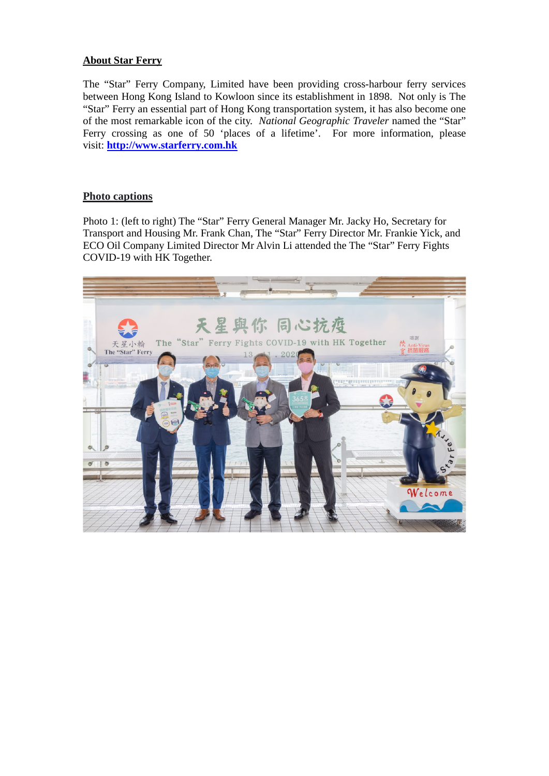#### **About Star Ferry**

The "Star" Ferry Company, Limited have been providing cross-harbour ferry services between Hong Kong Island to Kowloon since its establishment in 1898. Not only is The "Star" Ferry an essential part of Hong Kong transportation system, it has also become one of the most remarkable icon of the city. *National Geographic Traveler* named the "Star" Ferry crossing as one of 50 'places of a lifetime'. For more information, please visit: **[http://www.starferry.com.hk](http://www.starferry.com.hk/en/home)**

### **Photo captions**

Photo 1: (left to right) The "Star" Ferry General Manager Mr. Jacky Ho, Secretary for Transport and Housing Mr. Frank Chan, The "Star" Ferry Director Mr. Frankie Yick, and ECO Oil Company Limited Director Mr Alvin Li attended the The "Star" Ferry Fights COVID-19 with HK Together.